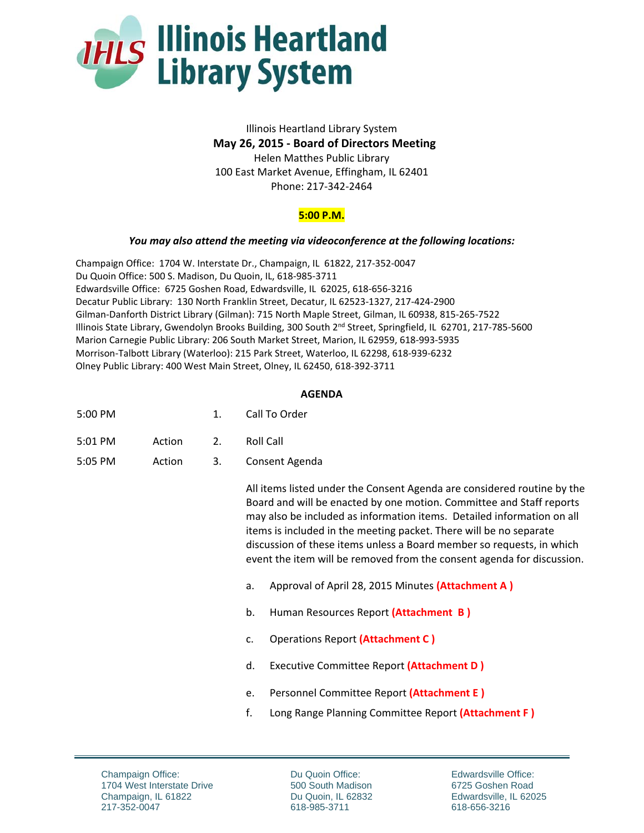

## Illinois Heartland Library System  **May 26, 2015 ‐ Board of Directors Meeting**  Helen Matthes Public Library 100 East Market Avenue, Effingham, IL 62401 Phone: 217‐342‐2464

## **5:00 P.M.**

## *You may also attend the meeting via videoconference at the following locations:*

Champaign Office: 1704 W. Interstate Dr., Champaign, IL 61822, 217‐352‐0047 Du Quoin Office: 500 S. Madison, Du Quoin, IL, 618‐985‐3711 Edwardsville Office: 6725 Goshen Road, Edwardsville, IL 62025, 618‐656‐3216 Decatur Public Library: 130 North Franklin Street, Decatur, IL 62523‐1327, 217‐424‐2900 Gilman‐Danforth District Library (Gilman): 715 North Maple Street, Gilman, IL 60938, 815‐265‐7522 Illinois State Library, Gwendolyn Brooks Building, 300 South 2nd Street, Springfield, IL 62701, 217‐785‐5600 Marion Carnegie Public Library: 206 South Market Street, Marion, IL 62959, 618‐993‐5935 Morrison‐Talbott Library (Waterloo): 215 Park Street, Waterloo, IL 62298, 618‐939‐6232 Olney Public Library: 400 West Main Street, Olney, IL 62450, 618‐392‐3711

## **AGENDA**

| 5:00 PM | Call To Order |
|---------|---------------|
|         |               |

- 5:01 PM Action 2. Roll Call
- 5:05 PM Action 3. Consent Agenda

 All items listed under the Consent Agenda are considered routine by the Board and will be enacted by one motion. Committee and Staff reports may also be included as information items. Detailed information on all items is included in the meeting packet. There will be no separate discussion of these items unless a Board member so requests, in which event the item will be removed from the consent agenda for discussion.

- a. Approval of April 28, 2015 Minutes **(Attachment A )**
- b. Human Resources Report **(Attachment B )**
- c. Operations Report **(Attachment C )**
- d. Executive Committee Report **(Attachment D )**
- e. Personnel Committee Report **(Attachment E )**
- f. Long Range Planning Committee Report **(Attachment F )**

Du Quoin Office: 500 South Madison Du Quoin, IL 62832 618-985-3711

Edwardsville Office: 6725 Goshen Road Edwardsville, IL 62025 618-656-3216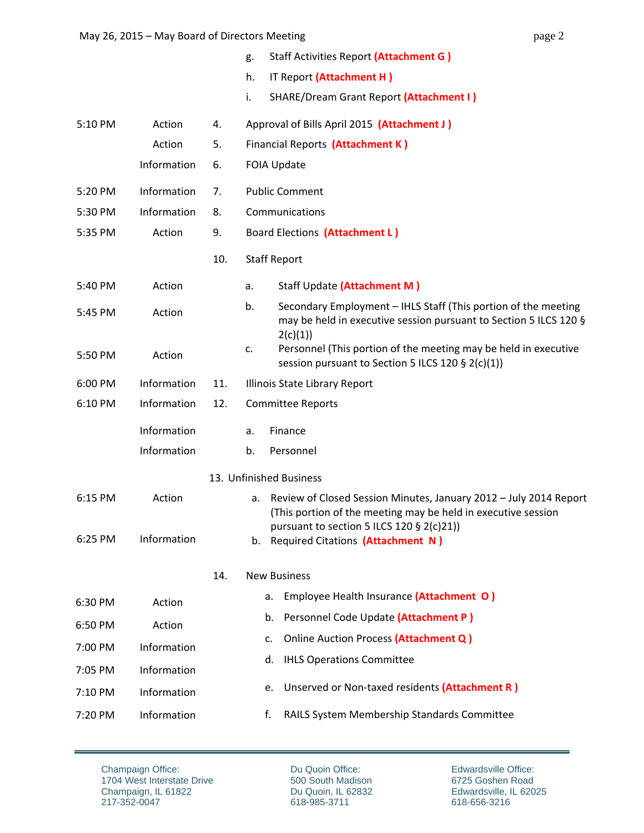|         |             |     | Staff Activities Report (Attachment G)<br>g.                                                                                                                                          |
|---------|-------------|-----|---------------------------------------------------------------------------------------------------------------------------------------------------------------------------------------|
|         |             |     | h.<br>IT Report (Attachment H)                                                                                                                                                        |
|         |             |     | i.<br><b>SHARE/Dream Grant Report (Attachment I)</b>                                                                                                                                  |
| 5:10 PM | Action      | 4.  | Approval of Bills April 2015 (Attachment J)                                                                                                                                           |
|         | Action      | 5.  | Financial Reports (Attachment K)                                                                                                                                                      |
|         | Information | 6.  | <b>FOIA Update</b>                                                                                                                                                                    |
| 5:20 PM | Information | 7.  | <b>Public Comment</b>                                                                                                                                                                 |
| 5:30 PM | Information | 8.  | Communications                                                                                                                                                                        |
| 5:35 PM | Action      | 9.  | Board Elections (Attachment L)                                                                                                                                                        |
|         |             | 10. | <b>Staff Report</b>                                                                                                                                                                   |
| 5:40 PM | Action      |     | Staff Update (Attachment M)<br>a.                                                                                                                                                     |
| 5:45 PM | Action      |     | b.<br>Secondary Employment - IHLS Staff (This portion of the meeting<br>may be held in executive session pursuant to Section 5 ILCS 120 §<br>2(c)(1))                                 |
| 5:50 PM | Action      |     | Personnel (This portion of the meeting may be held in executive<br>c.<br>session pursuant to Section 5 ILCS 120 § 2(c)(1))                                                            |
| 6:00 PM | Information | 11. | Illinois State Library Report                                                                                                                                                         |
| 6:10 PM | Information | 12. | <b>Committee Reports</b>                                                                                                                                                              |
|         | Information |     | Finance<br>a.                                                                                                                                                                         |
|         | Information |     | Personnel<br>b.                                                                                                                                                                       |
|         |             |     | 13. Unfinished Business                                                                                                                                                               |
| 6:15 PM | Action      |     | Review of Closed Session Minutes, January 2012 - July 2014 Report<br>а.<br>(This portion of the meeting may be held in executive session<br>pursuant to section 5 ILCS 120 § 2(c)21)) |
| 6:25 PM | Information |     | Required Citations (Attachment N)<br>b.                                                                                                                                               |
|         |             | 14. | <b>New Business</b>                                                                                                                                                                   |
| 6:30 PM | Action      |     | Employee Health Insurance (Attachment O)<br>а.                                                                                                                                        |
| 6:50 PM | Action      |     | Personnel Code Update (Attachment P)<br>b.                                                                                                                                            |
| 7:00 PM | Information |     | Online Auction Process (Attachment Q)<br>c.                                                                                                                                           |
| 7:05 PM | Information |     | <b>IHLS Operations Committee</b><br>d.                                                                                                                                                |
| 7:10 PM | Information |     | Unserved or Non-taxed residents (Attachment R)<br>е.                                                                                                                                  |
| 7:20 PM | Information |     | RAILS System Membership Standards Committee<br>f.                                                                                                                                     |
|         |             |     |                                                                                                                                                                                       |

Du Quoin Office: 500 South Madison Du Quoin, IL 62832 618-985-3711